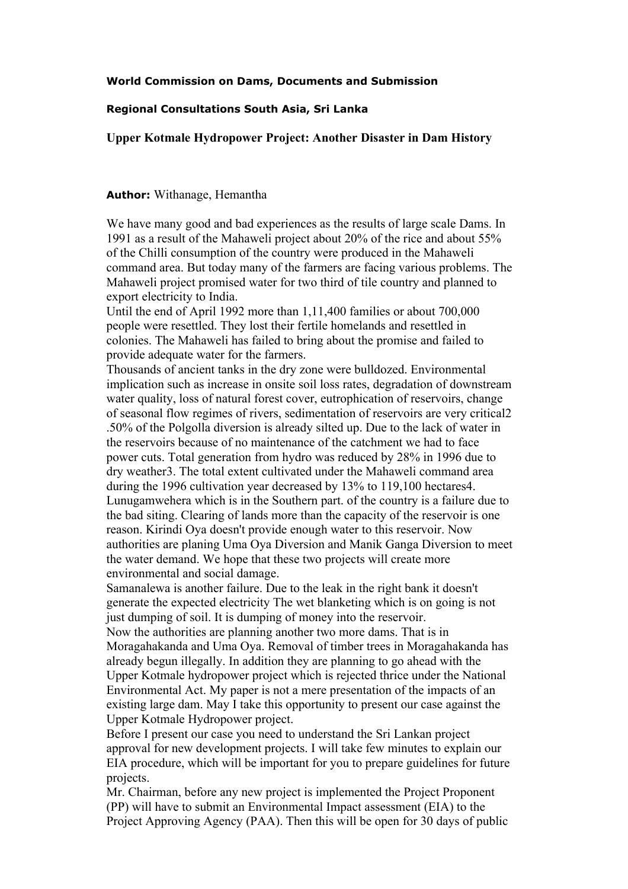### **World Commission on Dams, Documents and Submission**

### **Regional Consultations South Asia, Sri Lanka**

Upper Kotmale Hydropower Project: Another Disaster in Dam History

### **Author:** Withanage, Hemantha

We have many good and bad experiences as the results of large scale Dams. In 1991 as a result of the Mahaweli project about 20% of the rice and about 55% of the Chilli consumption of the country were produced in the Mahaweli command area. But today many of the farmers are facing various problems. The Mahaweli project promised water for two third of tile country and planned to export electricity to India.

Until the end of April 1992 more than 1,11,400 families or about 700,000 people were resettled. They lost their fertile homelands and resettled in colonies. The Mahaweli has failed to bring about the promise and failed to provide adequate water for the farmers.

Thousands of ancient tanks in the dry zone were bulldozed. Environmental implication such as increase in onsite soil loss rates, degradation of downstream water quality, loss of natural forest cover, eutrophication of reservoirs, change of seasonal flow regimes of rivers, sedimentation of reservoirs are very critical2 .50% of the Polgolla diversion is already silted up. Due to the lack of water in the reservoirs because of no maintenance of the catchment we had to face power cuts. Total generation from hydro was reduced by 28% in 1996 due to dry weather3. The total extent cultivated under the Mahaweli command area during the 1996 cultivation year decreased by 13% to 119,100 hectares4. Lunugamwehera which is in the Southern part. of the country is a failure due to the bad siting. Clearing of lands more than the capacity of the reservoir is one reason. Kirindi Oya doesn't provide enough water to this reservoir. Now authorities are planing Uma Oya Diversion and Manik Ganga Diversion to meet the water demand. We hope that these two projects will create more environmental and social damage.

Samanalewa is another failure. Due to the leak in the right bank it doesn't generate the expected electricity The wet blanketing which is on going is not just dumping of soil. It is dumping of money into the reservoir.

Now the authorities are planning another two more dams. That is in Moragahakanda and Uma Oya. Removal of timber trees in Moragahakanda has already begun illegally. In addition they are planning to go ahead with the Upper Kotmale hydropower project which is rejected thrice under the National Environmental Act. My paper is not a mere presentation of the impacts of an existing large dam. May I take this opportunity to present our case against the Upper Kotmale Hydropower project.

Before I present our case you need to understand the Sri Lankan project approval for new development projects. I will take few minutes to explain our EIA procedure, which will be important for you to prepare guidelines for future projects.

Mr. Chairman, before any new project is implemented the Project Proponent (PP) will have to submit an Environmental Impact assessment (EIA) to the Project Approving Agency (PAA). Then this will be open for 30 days of public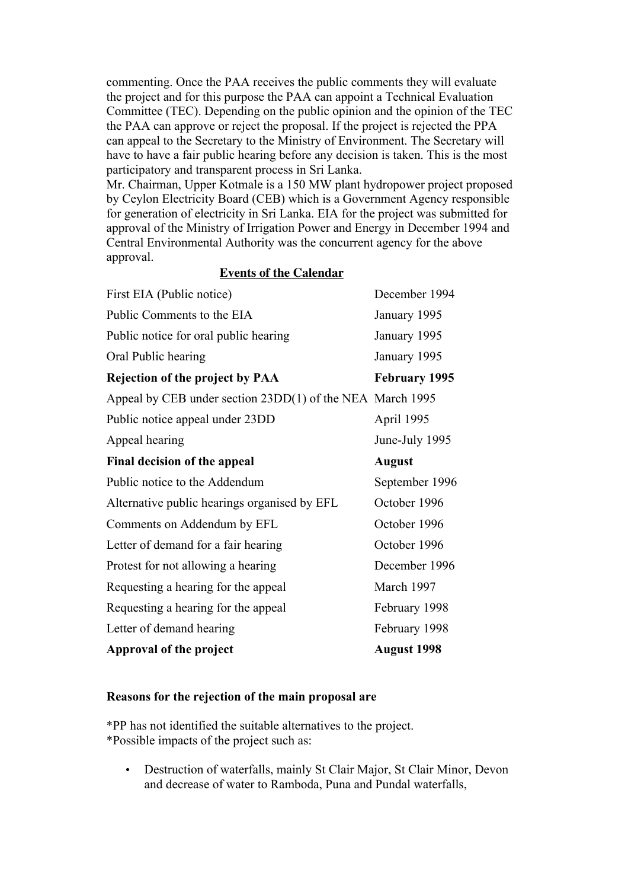commenting. Once the PAA receives the public comments they will evaluate the project and for this purpose the PAA can appoint a Technical Evaluation Committee (TEC). Depending on the public opinion and the opinion of the TEC the PAA can approve or reject the proposal. If the project is rejected the PPA can appeal to the Secretary to the Ministry of Environment. The Secretary will have to have a fair public hearing before any decision is taken. This is the most participatory and transparent process in Sri Lanka.

Mr. Chairman, Upper Kotmale is a 150 MW plant hydropower project proposed by Ceylon Electricity Board (CEB) which is a Government Agency responsible for generation of electricity in Sri Lanka. EIA for the project was submitted for approval of the Ministry of Irrigation Power and Energy in December 1994 and Central Environmental Authority was the concurrent agency for the above approval.

### **Events of the Calendar**

| First EIA (Public notice)                                 | December 1994        |
|-----------------------------------------------------------|----------------------|
| Public Comments to the EIA                                | January 1995         |
| Public notice for oral public hearing                     | January 1995         |
| Oral Public hearing                                       | January 1995         |
| <b>Rejection of the project by PAA</b>                    | <b>February 1995</b> |
| Appeal by CEB under section 23DD(1) of the NEA March 1995 |                      |
| Public notice appeal under 23DD                           | April 1995           |
| Appeal hearing                                            | June-July 1995       |
| Final decision of the appeal                              | <b>August</b>        |
| Public notice to the Addendum                             | September 1996       |
| Alternative public hearings organised by EFL              | October 1996         |
| Comments on Addendum by EFL                               | October 1996         |
| Letter of demand for a fair hearing                       | October 1996         |
| Protest for not allowing a hearing                        | December 1996        |
| Requesting a hearing for the appeal                       | March 1997           |
| Requesting a hearing for the appeal                       | February 1998        |
| Letter of demand hearing                                  | February 1998        |
| Approval of the project                                   | <b>August 1998</b>   |

### Reasons for the rejection of the main proposal are

\*PP has not identified the suitable alternatives to the project. \*Possible impacts of the project such as:

• Destruction of waterfalls, mainly St Clair Major, St Clair Minor, Devon and decrease of water to Ramboda, Puna and Pundal waterfalls,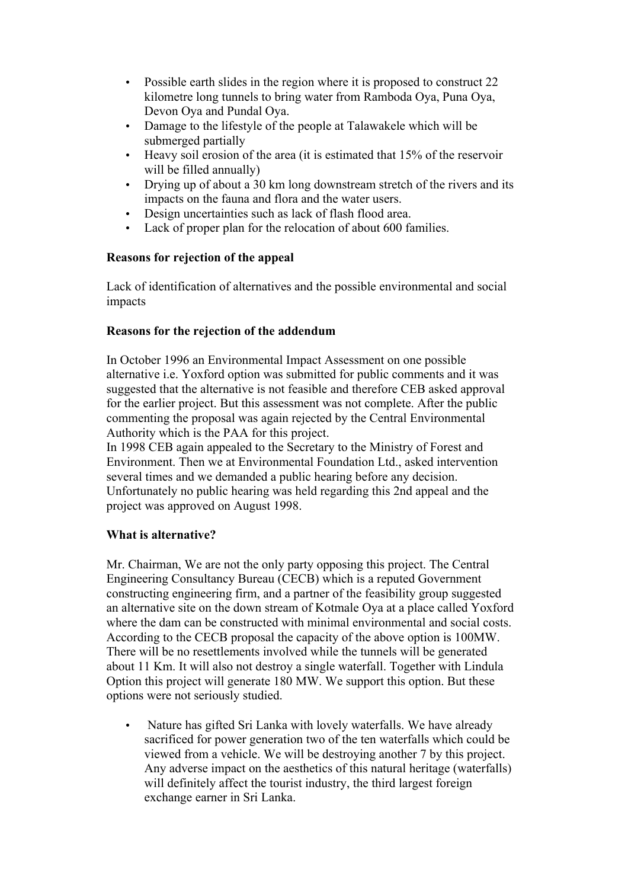- Possible earth slides in the region where it is proposed to construct 22 kilometre long tunnels to bring water from Ramboda Oya, Puna Oya, Devon Oya and Pundal Oya.
- Damage to the lifestyle of the people at Talawakele which will be submerged partially
- Heavy soil erosion of the area (it is estimated that 15% of the reservoir will be filled annually)
- Drying up of about a 30 km long downstream stretch of the rivers and its impacts on the fauna and flora and the water users.
- Design uncertainties such as lack of flash flood area.
- Lack of proper plan for the relocation of about 600 families.

# Reasons for rejection of the appeal

Lack of identification of alternatives and the possible environmental and social impacts

## Reasons for the rejection of the addendum

In October 1996 an Environmental Impact Assessment on one possible alternative i.e. Yoxford option was submitted for public comments and it was suggested that the alternative is not feasible and therefore CEB asked approval for the earlier project. But this assessment was not complete. After the public commenting the proposal was again rejected by the Central Environmental Authority which is the PAA for this project.

In 1998 CEB again appealed to the Secretary to the Ministry of Forest and Environment. Then we at Environmental Foundation Ltd., asked intervention several times and we demanded a public hearing before any decision. Unfortunately no public hearing was held regarding this 2nd appeal and the project was approved on August 1998.

# What is alternative?

Mr. Chairman, We are not the only party opposing this project. The Central Engineering Consultancy Bureau (CECB) which is a reputed Government constructing engineering firm, and a partner of the feasibility group suggested an alternative site on the down stream of Kotmale Oya at a place called Yoxford where the dam can be constructed with minimal environmental and social costs. According to the CECB proposal the capacity of the above option is 100MW. There will be no resettlements involved while the tunnels will be generated about 11 Km. It will also not destroy a single waterfall. Together with Lindula Option this project will generate 180 MW. We support this option. But these options were not seriously studied.

• Nature has gifted Sri Lanka with lovely waterfalls. We have already sacrificed for power generation two of the ten waterfalls which could be viewed from a vehicle. We will be destroying another 7 by this project. Any adverse impact on the aesthetics of this natural heritage (waterfalls) will definitely affect the tourist industry, the third largest foreign exchange earner in Sri Lanka.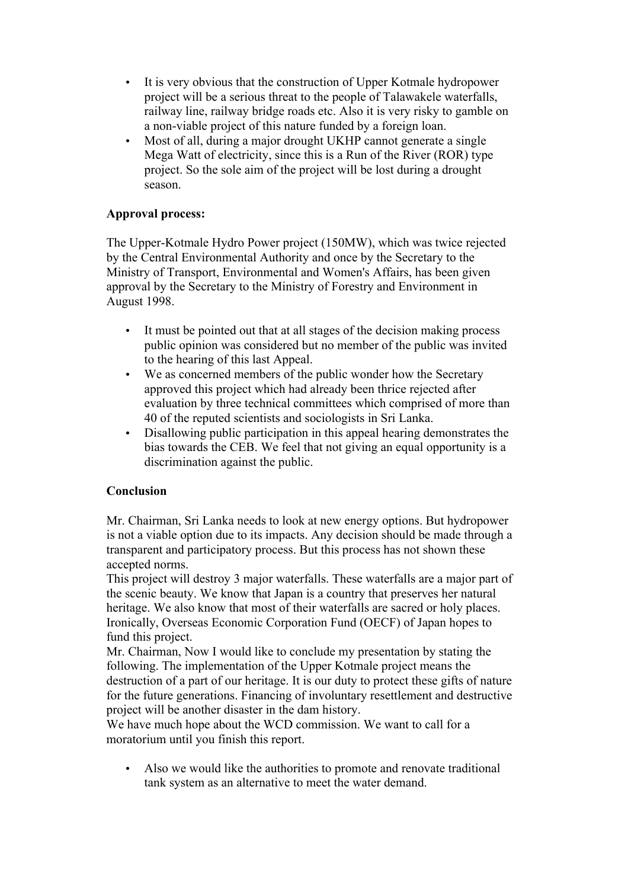- It is very obvious that the construction of Upper Kotmale hydropower project will be a serious threat to the people of Talawakele waterfalls, railway line, railway bridge roads etc. Also it is very risky to gamble on a non-viable project of this nature funded by a foreign loan.
- Most of all, during a major drought UKHP cannot generate a single Mega Watt of electricity, since this is a Run of the River (ROR) type project. So the sole aim of the project will be lost during a drought season.

# Approval process:

The Upper-Kotmale Hydro Power project (150MW), which was twice rejected by the Central Environmental Authority and once by the Secretary to the Ministry of Transport, Environmental and Women's Affairs, has been given approval by the Secretary to the Ministry of Forestry and Environment in August 1998.

- It must be pointed out that at all stages of the decision making process public opinion was considered but no member of the public was invited to the hearing of this last Appeal.
- We as concerned members of the public wonder how the Secretary approved this project which had already been thrice rejected after evaluation by three technical committees which comprised of more than 40 of the reputed scientists and sociologists in Sri Lanka.
- Disallowing public participation in this appeal hearing demonstrates the bias towards the CEB. We feel that not giving an equal opportunity is a discrimination against the public.

## **Conclusion**

Mr. Chairman, Sri Lanka needs to look at new energy options. But hydropower is not a viable option due to its impacts. Any decision should be made through a transparent and participatory process. But this process has not shown these accepted norms.

This project will destroy 3 major waterfalls. These waterfalls are a major part of the scenic beauty. We know that Japan is a country that preserves her natural heritage. We also know that most of their waterfalls are sacred or holy places. Ironically, Overseas Economic Corporation Fund (OECF) of Japan hopes to fund this project.

Mr. Chairman, Now I would like to conclude my presentation by stating the following. The implementation of the Upper Kotmale project means the destruction of a part of our heritage. It is our duty to protect these gifts of nature for the future generations. Financing of involuntary resettlement and destructive project will be another disaster in the dam history.

We have much hope about the WCD commission. We want to call for a moratorium until you finish this report.

• Also we would like the authorities to promote and renovate traditional tank system as an alternative to meet the water demand.